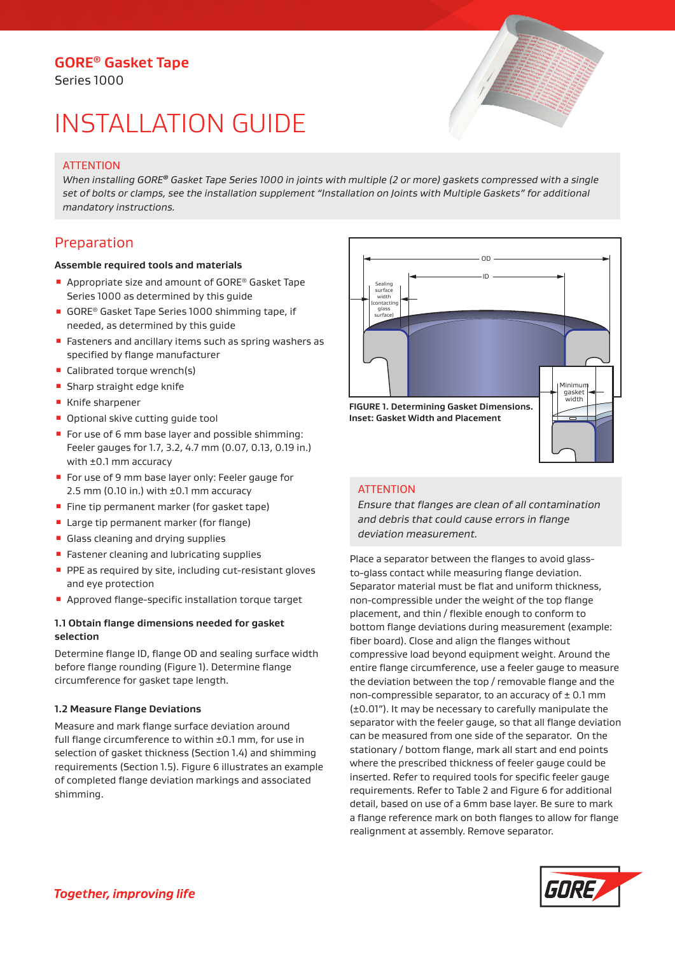# **GORE® Gasket Tape**

Series 1000

# INSTALLATION GUIDE

# **ATTENTION**

*When installing GORE® Gasket Tape Series 1000 in joints with multiple (2 or more) gaskets compressed with a single set of bolts or clamps, see the installation supplement "Installation on Joints with Multiple Gaskets" for additional mandatory instructions.*

# Preparation

#### **Assemble required tools and materials**

- Appropriate size and amount of GORE<sup>®</sup> Gasket Tape Series 1000 as determined by this guide
- GORE® Gasket Tape Series 1000 shimming tape, if needed, as determined by this guide
- Fasteners and ancillary items such as spring washers as specified by flange manufacturer
- Calibrated torque wrench(s)
- **B** Sharp straight edge knife
- Knife sharpener
- Optional skive cutting guide tool
- For use of 6 mm base layer and possible shimming: Feeler gauges for 1.7, 3.2, 4.7 mm (0.07, 0.13, 0.19 in.) with ±0.1 mm accuracy
- For use of 9 mm base layer only: Feeler gauge for 2.5 mm (0.10 in.) with ±0.1 mm accuracy
- **Fine tip permanent marker (for gasket tape)**
- Large tip permanent marker (for flange)
- Glass cleaning and drying supplies
- Fastener cleaning and lubricating supplies
- PPE as required by site, including cut-resistant gloves and eye protection
- Approved flange-specific installation torque target

## **1.1 Obtain flange dimensions needed for gasket selection**

Determine flange ID, flange OD and sealing surface width before flange rounding (Figure 1). Determine flange circumference for gasket tape length.

#### **1.2 Measure Flange Deviations**

Measure and mark flange surface deviation around full flange circumference to within ±0.1 mm, for use in selection of gasket thickness (Section 1.4) and shimming requirements (Section 1.5). Figure 6 illustrates an example of completed flange deviation markings and associated shimming.



# **ATTENTION**

*Ensure that flanges are clean of all contamination and debris that could cause errors in flange deviation measurement.*

Place a separator between the flanges to avoid glassto-glass contact while measuring flange deviation. Separator material must be flat and uniform thickness, non-compressible under the weight of the top flange placement, and thin / flexible enough to conform to bottom flange deviations during measurement (example: fiber board). Close and align the flanges without compressive load beyond equipment weight. Around the entire flange circumference, use a feeler gauge to measure the deviation between the top / removable flange and the non-compressible separator, to an accuracy of  $\pm$  0.1 mm (±0.01"). It may be necessary to carefully manipulate the separator with the feeler gauge, so that all flange deviation can be measured from one side of the separator. On the stationary / bottom flange, mark all start and end points where the prescribed thickness of feeler gauge could be inserted. Refer to required tools for specific feeler gauge requirements. Refer to Table 2 and Figure 6 for additional detail, based on use of a 6mm base layer. Be sure to mark a flange reference mark on both flanges to allow for flange realignment at assembly. Remove separator.

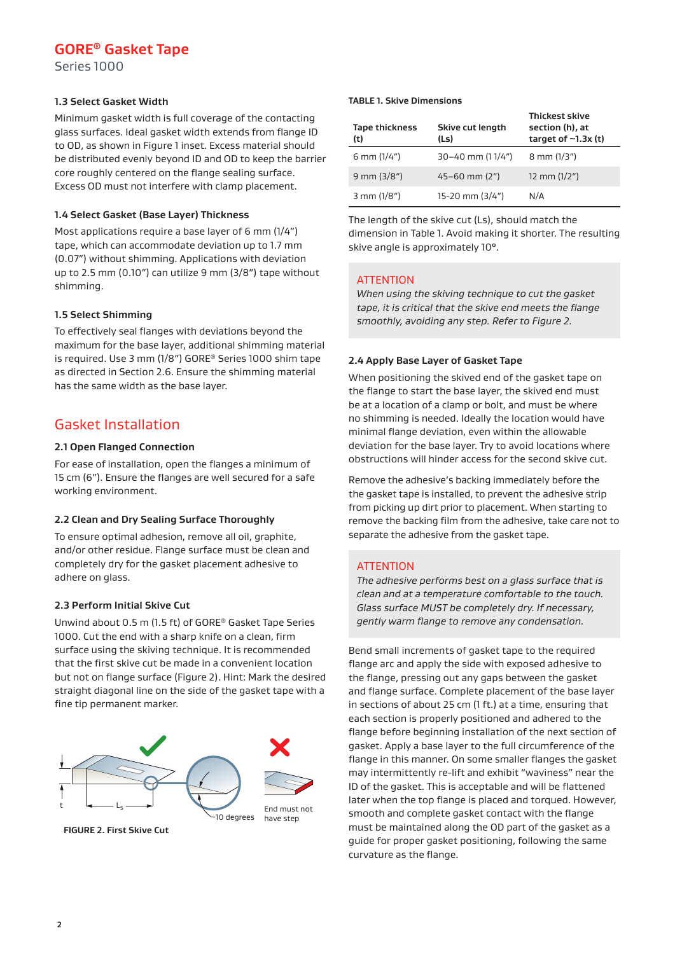# **GORE® Gasket Tape**

Series 1000

#### **1.3 Select Gasket Width**

Minimum gasket width is full coverage of the contacting glass surfaces. Ideal gasket width extends from flange ID to OD, as shown in Figure 1 inset. Excess material should be distributed evenly beyond ID and OD to keep the barrier core roughly centered on the flange sealing surface. Excess OD must not interfere with clamp placement.

#### **1.4 Select Gasket (Base Layer) Thickness**

Most applications require a base layer of 6 mm (1/4") tape, which can accommodate deviation up to 1.7 mm (0.07") without shimming. Applications with deviation up to 2.5 mm (0.10") can utilize 9 mm (3/8") tape without shimming.

## **1.5 Select Shimming**

To effectively seal flanges with deviations beyond the maximum for the base layer, additional shimming material is required. Use 3 mm (1/8") GORE® Series 1000 shim tape as directed in Section 2.6. Ensure the shimming material has the same width as the base layer.

# Gasket Installation

#### **2.1 Open Flanged Connection**

For ease of installation, open the flanges a minimum of 15 cm (6"). Ensure the flanges are well secured for a safe working environment.

#### **2.2 Clean and Dry Sealing Surface Thoroughly**

To ensure optimal adhesion, remove all oil, graphite, and/or other residue. Flange surface must be clean and completely dry for the gasket placement adhesive to adhere on glass.

#### **2.3 Perform Initial Skive Cut**

Unwind about 0.5 m (1.5 ft) of GORE® Gasket Tape Series 1000. Cut the end with a sharp knife on a clean, firm surface using the skiving technique. It is recommended that the first skive cut be made in a convenient location but not on flange surface (Figure 2). Hint: Mark the desired straight diagonal line on the side of the gasket tape with a fine tip permanent marker.



#### **TABLE 1. Skive Dimensions**

| <b>Tape thickness</b><br>(t) | Skive cut length<br>(Ls) | <b>Thickest skive</b><br>section (h), at<br>target of $\sim$ 1.3x (t) |
|------------------------------|--------------------------|-----------------------------------------------------------------------|
| 6 mm $(1/4")$                | 30-40 mm (11/4")         | $8 \text{ mm} (1/3")$                                                 |
| $9$ mm $(3/8")$              | $45 - 60$ mm $(2n)$      | 12 mm $(1/2")$                                                        |
| $3$ mm $(1/8")$              | 15-20 mm (3/4")          | N/A                                                                   |

The length of the skive cut (Ls), should match the dimension in Table 1. Avoid making it shorter. The resulting skive angle is approximately 10°.

## **ATTENTION**

*When using the skiving technique to cut the gasket tape, it is critical that the skive end meets the flange smoothly, avoiding any step. Refer to Figure 2.*

#### **2.4 Apply Base Layer of Gasket Tape**

When positioning the skived end of the gasket tape on the flange to start the base layer, the skived end must be at a location of a clamp or bolt, and must be where no shimming is needed. Ideally the location would have minimal flange deviation, even within the allowable deviation for the base layer. Try to avoid locations where obstructions will hinder access for the second skive cut.

Remove the adhesive's backing immediately before the the gasket tape is installed, to prevent the adhesive strip from picking up dirt prior to placement. When starting to remove the backing film from the adhesive, take care not to separate the adhesive from the gasket tape.

# **ATTENTION**

*The adhesive performs best on a glass surface that is clean and at a temperature comfortable to the touch. Glass surface MUST be completely dry. If necessary, gently warm flange to remove any condensation.*

Bend small increments of gasket tape to the required flange arc and apply the side with exposed adhesive to the flange, pressing out any gaps between the gasket and flange surface. Complete placement of the base layer in sections of about 25 cm (1 ft.) at a time, ensuring that each section is properly positioned and adhered to the flange before beginning installation of the next section of gasket. Apply a base layer to the full circumference of the flange in this manner. On some smaller flanges the gasket may intermittently re-lift and exhibit "waviness" near the ID of the gasket. This is acceptable and will be flattened later when the top flange is placed and torqued. However, smooth and complete gasket contact with the flange must be maintained along the OD part of the gasket as a guide for proper gasket positioning, following the same curvature as the flange.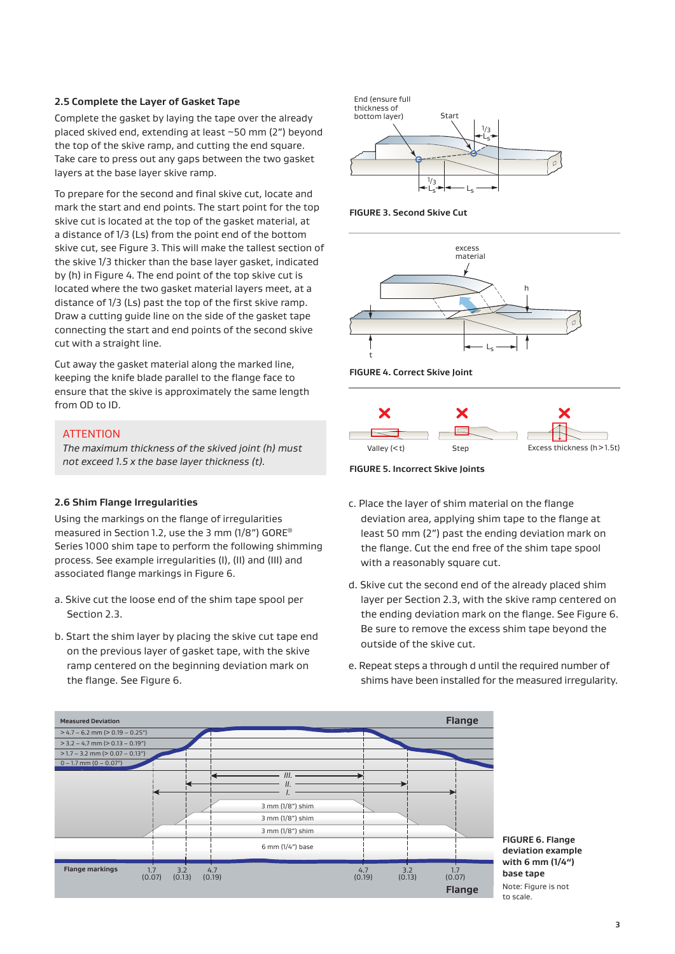#### **2.5 Complete the Layer of Gasket Tape**

Complete the gasket by laying the tape over the already placed skived end, extending at least ~50 mm (2") beyond the top of the skive ramp, and cutting the end square. Take care to press out any gaps between the two gasket layers at the base layer skive ramp.

To prepare for the second and final skive cut, locate and mark the start and end points. The start point for the top skive cut is located at the top of the gasket material, at a distance of 1/3 (Ls) from the point end of the bottom skive cut, see Figure 3. This will make the tallest section of the skive 1/3 thicker than the base layer gasket, indicated by (h) in Figure 4. The end point of the top skive cut is located where the two gasket material layers meet, at a distance of 1/3 (Ls) past the top of the first skive ramp. Draw a cutting guide line on the side of the gasket tape connecting the start and end points of the second skive cut with a straight line.

Cut away the gasket material along the marked line, keeping the knife blade parallel to the flange face to ensure that the skive is approximately the same length from OD to ID.

#### **ATTENTION**

*The maximum thickness of the skived joint (h) must not exceed 1.5 x the base layer thickness (t).*

#### **2.6 Shim Flange Irregularities**

Using the markings on the flange of irregularities measured in Section 1.2, use the 3 mm (1/8") GORE® Series 1000 shim tape to perform the following shimming process. See example irregularities (I), (II) and (III) and associated flange markings in Figure 6.

- a. Skive cut the loose end of the shim tape spool per Section 2.3.
- b. Start the shim layer by placing the skive cut tape end on the previous layer of gasket tape, with the skive ramp centered on the beginning deviation mark on the flange. See Figure 6.



**FIGURE 3. Second Skive Cut**









- c. Place the layer of shim material on the flange deviation area, applying shim tape to the flange at least 50 mm (2") past the ending deviation mark on the flange. Cut the end free of the shim tape spool with a reasonably square cut.
- d. Skive cut the second end of the already placed shim layer per Section 2.3, with the skive ramp centered on the ending deviation mark on the flange. See Figure 6. Be sure to remove the excess shim tape beyond the outside of the skive cut.
- e. Repeat steps a through d until the required number of shims have been installed for the measured irregularity.



**FIGURE 6. Flange deviation example with 6 mm (1/4") base tape** Note: Figure is not to scale.